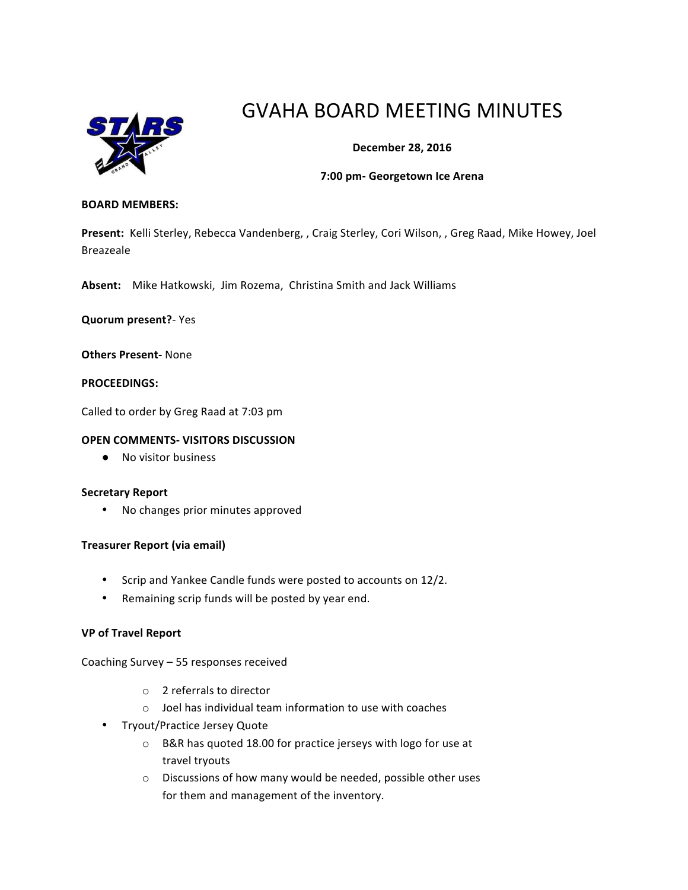

# GVAHA BOARD MEETING MINUTES

# **December 28, 2016**

#### **7:00 pm- Georgetown Ice Arena**

#### **BOARD MEMBERS:**

Present: Kelli Sterley, Rebecca Vandenberg, , Craig Sterley, Cori Wilson, , Greg Raad, Mike Howey, Joel Breazeale

Absent: Mike Hatkowski, Jim Rozema, Christina Smith and Jack Williams

**Quorum present?**- Yes

**Others Present-** None

#### **PROCEEDINGS:**

Called to order by Greg Raad at 7:03 pm

#### **OPEN COMMENTS- VISITORS DISCUSSION**

● No visitor business

#### **Secretary Report**

• No changes prior minutes approved

#### **Treasurer Report (via email)**

- Scrip and Yankee Candle funds were posted to accounts on 12/2.
- Remaining scrip funds will be posted by year end.

#### **VP of Travel Report**

Coaching Survey - 55 responses received

- $\circ$  2 referrals to director
- $\circ$  Joel has individual team information to use with coaches
- Tryout/Practice Jersey Quote
	- $\circ$  B&R has quoted 18.00 for practice jerseys with logo for use at travel tryouts
	- $\circ$  Discussions of how many would be needed, possible other uses for them and management of the inventory.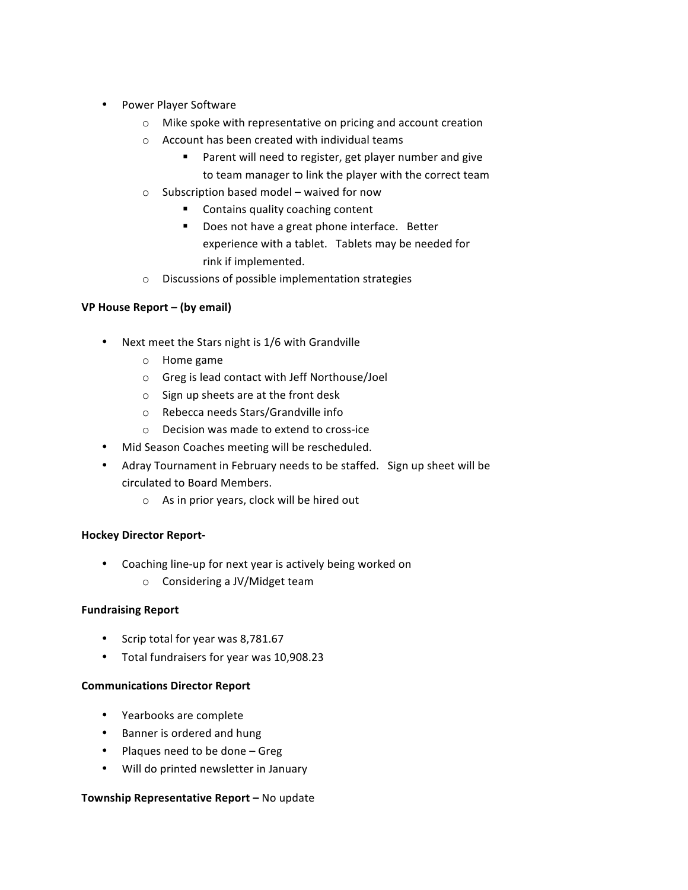- Power Player Software
	- $\circ$  Mike spoke with representative on pricing and account creation
	- $\circ$  Account has been created with individual teams
		- Parent will need to register, get player number and give to team manager to link the player with the correct team
	- $\circ$  Subscription based model waived for now
		- Contains quality coaching content
		- Does not have a great phone interface. Better experience with a tablet. Tablets may be needed for rink if implemented.
	- $\circ$  Discussions of possible implementation strategies

# **VP House Report – (by email)**

- Next meet the Stars night is 1/6 with Grandville
	- $\circ$  Home game
	- $\circ$  Greg is lead contact with Jeff Northouse/Joel
	- $\circ$  Sign up sheets are at the front desk
	- o Rebecca needs Stars/Grandville info
	- $\circ$  Decision was made to extend to cross-ice
- Mid Season Coaches meeting will be rescheduled.
- Adray Tournament in February needs to be staffed. Sign up sheet will be circulated to Board Members.
	- $\circ$  As in prior years, clock will be hired out

# **Hockey Director Report-**

- Coaching line-up for next year is actively being worked on
	- $\circ$  Considering a JV/Midget team

# **Fundraising Report**

- Scrip total for year was 8,781.67
- Total fundraisers for year was 10,908.23

# **Communications Director Report**

- Yearbooks are complete
- Banner is ordered and hung
- Plaques need to be done  $-$  Greg
- Will do printed newsletter in January

# **Township Representative Report - No update**